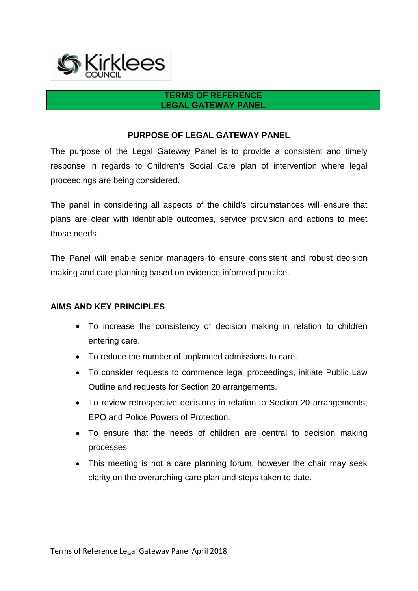

#### **TERMS OF REFERENCE LEGAL GATEWAY PANEL**

#### **PURPOSE OF LEGAL GATEWAY PANEL**

The purpose of the Legal Gateway Panel is to provide a consistent and timely response in regards to Children's Social Care plan of intervention where legal proceedings are being considered.

The panel in considering all aspects of the child's circumstances will ensure that plans are clear with identifiable outcomes, service provision and actions to meet those needs

The Panel will enable senior managers to ensure consistent and robust decision making and care planning based on evidence informed practice.

#### **AIMS AND KEY PRINCIPLES**

- To increase the consistency of decision making in relation to children entering care.
- To reduce the number of unplanned admissions to care.
- To consider requests to commence legal proceedings, initiate Public Law Outline and requests for Section 20 arrangements.
- To review retrospective decisions in relation to Section 20 arrangements, EPO and Police Powers of Protection.
- To ensure that the needs of children are central to decision making processes.
- This meeting is not a care planning forum, however the chair may seek clarity on the overarching care plan and steps taken to date.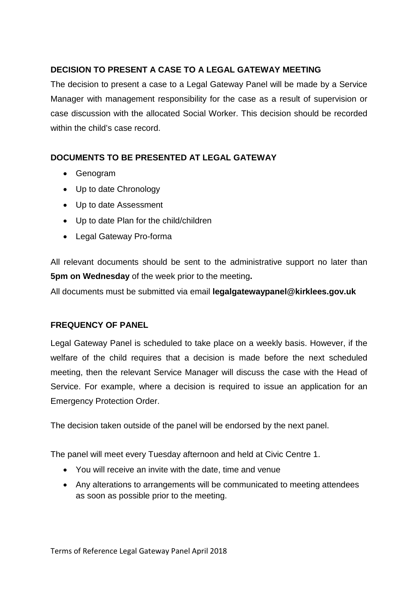# **DECISION TO PRESENT A CASE TO A LEGAL GATEWAY MEETING**

The decision to present a case to a Legal Gateway Panel will be made by a Service Manager with management responsibility for the case as a result of supervision or case discussion with the allocated Social Worker. This decision should be recorded within the child's case record.

## **DOCUMENTS TO BE PRESENTED AT LEGAL GATEWAY**

- Genogram
- Up to date Chronology
- Up to date Assessment
- Up to date Plan for the child/children
- Legal Gateway Pro-forma

All relevant documents should be sent to the administrative support no later than **5pm on Wednesday** of the week prior to the meeting**.** 

All documents must be submitted via email **legalgatewaypanel@kirklees.gov.uk**

#### **FREQUENCY OF PANEL**

Legal Gateway Panel is scheduled to take place on a weekly basis. However, if the welfare of the child requires that a decision is made before the next scheduled meeting, then the relevant Service Manager will discuss the case with the Head of Service. For example, where a decision is required to issue an application for an Emergency Protection Order.

The decision taken outside of the panel will be endorsed by the next panel.

The panel will meet every Tuesday afternoon and held at Civic Centre 1.

- You will receive an invite with the date, time and venue
- Any alterations to arrangements will be communicated to meeting attendees as soon as possible prior to the meeting.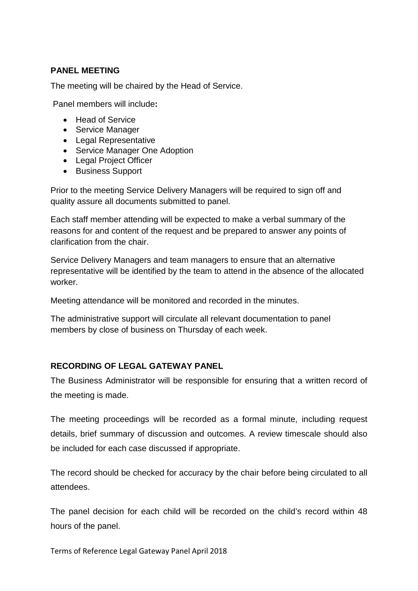## **PANEL MEETING**

The meeting will be chaired by the Head of Service.

Panel members will include**:** 

- Head of Service
- Service Manager
- Legal Representative
- Service Manager One Adoption
- Legal Project Officer
- Business Support

Prior to the meeting Service Delivery Managers will be required to sign off and quality assure all documents submitted to panel.

Each staff member attending will be expected to make a verbal summary of the reasons for and content of the request and be prepared to answer any points of clarification from the chair.

Service Delivery Managers and team managers to ensure that an alternative representative will be identified by the team to attend in the absence of the allocated worker.

Meeting attendance will be monitored and recorded in the minutes.

The administrative support will circulate all relevant documentation to panel members by close of business on Thursday of each week.

#### **RECORDING OF LEGAL GATEWAY PANEL**

The Business Administrator will be responsible for ensuring that a written record of the meeting is made.

The meeting proceedings will be recorded as a formal minute, including request details, brief summary of discussion and outcomes. A review timescale should also be included for each case discussed if appropriate.

The record should be checked for accuracy by the chair before being circulated to all attendees.

The panel decision for each child will be recorded on the child's record within 48 hours of the panel.

Terms of Reference Legal Gateway Panel April 2018